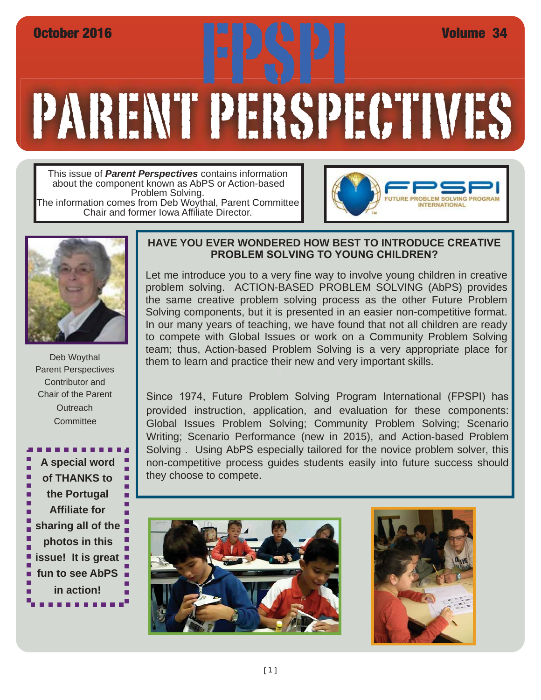# PARENT PERSPECTIVES October 2016<br>FRANCISCO STATE STATE STATE STATE OF THE ANTIFACTURE OF THE ANGLE OF THE ANGLE OF THE ANGLE OF THE ANGLE OF THE ANGLE OF THE ANGLE OF THE ANGLE OF THE ANGLE OF THE ANGLE OF THE ANGLE OF THE ANGLE OF THE ANGLE

This issue of *Parent Perspectives* contains information about the component known as AbPS or Action-based Problem Solving. The information comes from Deb Woythal, Parent Committee Chair and former Iowa Affiliate Director.





Deb Woythal Parent Perspectives Contributor and Chair of the Parent **Outreach Committee** 



#### **HAVE YOU EVER WONDERED HOW BEST TO INTRODUCE CREATIVE PROBLEM SOLVING TO YOUNG CHILDREN?**

Let me introduce you to a very fine way to involve young children in creative problem solving. ACTION-BASED PROBLEM SOLVING (AbPS) provides the same creative problem solving process as the other Future Problem Solving components, but it is presented in an easier non-competitive format. In our many years of teaching, we have found that not all children are ready to compete with Global Issues or work on a Community Problem Solving team; thus, Action-based Problem Solving is a very appropriate place for them to learn and practice their new and very important skills.

Since 1974, Future Problem Solving Program International (FPSPI) has provided instruction, application, and evaluation for these components: Global Issues Problem Solving; Community Problem Solving; Scenario Writing; Scenario Performance (new in 2015), and Action-based Problem Solving . Using AbPS especially tailored for the novice problem solver, this non-competitive process guides students easily into future success should they choose to compete.



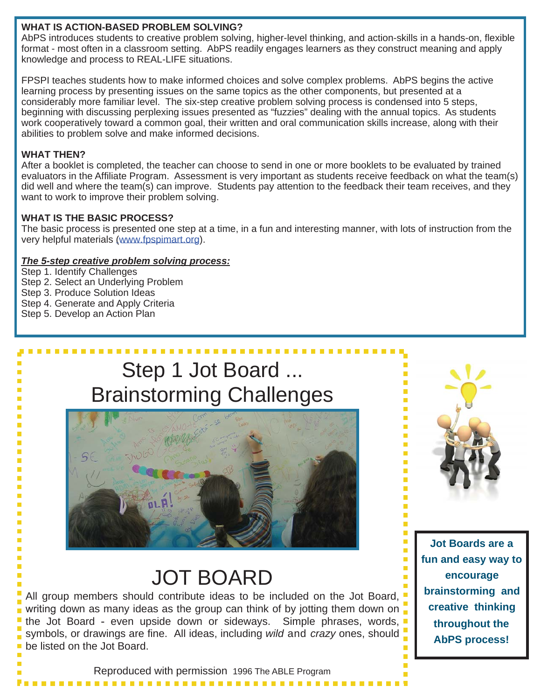#### **WHAT IS ACTION-BASED PROBLEM SOLVING?**

AbPS introduces students to creative problem solving, higher-level thinking, and action-skills in a hands-on, flexible format - most often in a classroom setting. AbPS readily engages learners as they construct meaning and apply knowledge and process to REAL-LIFE situations.

FPSPI teaches students how to make informed choices and solve complex problems. AbPS begins the active learning process by presenting issues on the same topics as the other components, but presented at a considerably more familiar level. The six-step creative problem solving process is condensed into 5 steps, beginning with discussing perplexing issues presented as "fuzzies" dealing with the annual topics. As students work cooperatively toward a common goal, their written and oral communication skills increase, along with their abilities to problem solve and make informed decisions.

#### **WHAT THEN?**

After a booklet is completed, the teacher can choose to send in one or more booklets to be evaluated by trained evaluators in the Affiliate Program. Assessment is very important as students receive feedback on what the team(s) did well and where the team(s) can improve. Students pay attention to the feedback their team receives, and they want to work to improve their problem solving.

#### **WHAT IS THE BASIC PROCESS?**

The basic process is presented one step at a time, in a fun and interesting manner, with lots of instruction from the very helpful materials (www.fpspimart.org).

#### *The 5-step creative problem solving process:*

Step 1. Identify Challenges Step 2. Select an Underlying Problem Step 3. Produce Solution Ideas Step 4. Generate and Apply Criteria Step 5. Develop an Action Plan

## Step 1 Jot Board ... Brainstorming Challenges



# JOT BOARD

All group members should contribute ideas to be included on the Jot Board writing down as many ideas as the group can think of by jotting them down on  $\Box$ the Jot Board - even upside down or sideways. Simple phrases, words, symbols, or drawings are fine. All ideas, including *wild* and *crazy* ones, should be listed on the Jot Board.



**Jot Boards are a fun and easy way to encourage brainstorming and creative thinking throughout the AbPS process!**

Reproduced with permission 1996 The ABLE Program